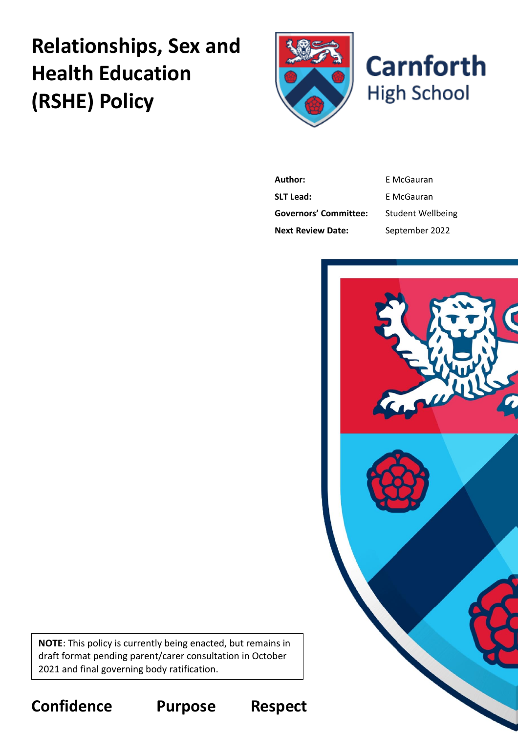# **Relationships, Sex and Health Education (RSHE) Policy**





**Author:** E McGauran **SLT Lead:** E McGauran **Governors' Committee:** Student Wellbeing **Next Review Date:** September 2022



**NOTE**: This policy is currently being enacted, but remains in draft format pending parent/carer consultation in October 2021 and final governing body ratification.

# **Confidence Purpose Respect**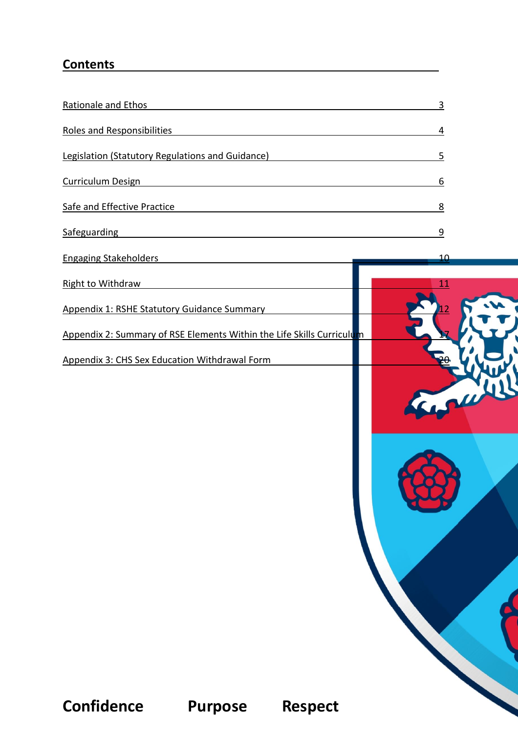# **Contents**

| Rationale and Ethos                                                   | 3              |
|-----------------------------------------------------------------------|----------------|
| <b>Roles and Responsibilities</b>                                     | $\overline{4}$ |
| Legislation (Statutory Regulations and Guidance)                      | $\overline{5}$ |
| Curriculum Design                                                     | <u>6</u>       |
| Safe and Effective Practice                                           | 8              |
| Safeguarding                                                          | $\overline{9}$ |
| <b>Engaging Stakeholders</b>                                          | 10             |
| Right to Withdraw                                                     | 11             |
| <b>Appendix 1: RSHE Statutory Guidance Summary</b>                    |                |
| Appendix 2: Summary of RSE Elements Within the Life Skills Curriculum |                |
| Appendix 3: CHS Sex Education Withdrawal Form                         |                |
|                                                                       | $\bullet$      |
|                                                                       |                |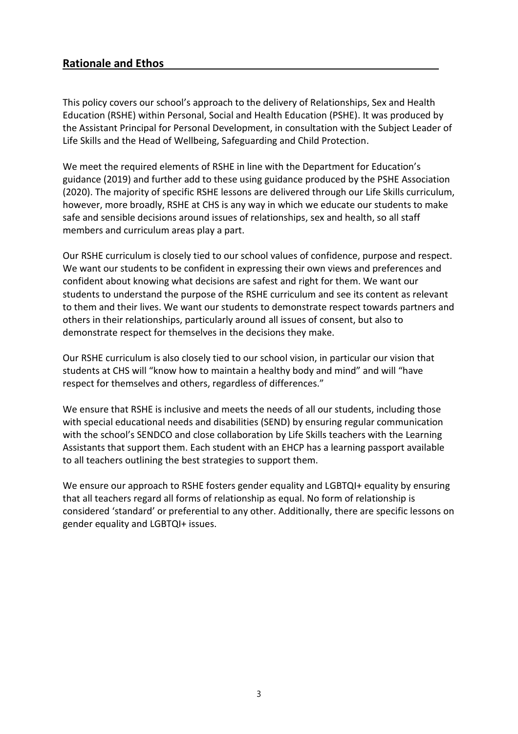# **Rationale and Ethos**

This policy covers our school's approach to the delivery of Relationships, Sex and Health Education (RSHE) within Personal, Social and Health Education (PSHE). It was produced by the Assistant Principal for Personal Development, in consultation with the Subject Leader of Life Skills and the Head of Wellbeing, Safeguarding and Child Protection.

We meet the required elements of RSHE in line with the Department for Education's guidance (2019) and further add to these using guidance produced by the PSHE Association (2020). The majority of specific RSHE lessons are delivered through our Life Skills curriculum, however, more broadly, RSHE at CHS is any way in which we educate our students to make safe and sensible decisions around issues of relationships, sex and health, so all staff members and curriculum areas play a part.

Our RSHE curriculum is closely tied to our school values of confidence, purpose and respect. We want our students to be confident in expressing their own views and preferences and confident about knowing what decisions are safest and right for them. We want our students to understand the purpose of the RSHE curriculum and see its content as relevant to them and their lives. We want our students to demonstrate respect towards partners and others in their relationships, particularly around all issues of consent, but also to demonstrate respect for themselves in the decisions they make.

Our RSHE curriculum is also closely tied to our school vision, in particular our vision that students at CHS will "know how to maintain a healthy body and mind" and will "have respect for themselves and others, regardless of differences."

We ensure that RSHE is inclusive and meets the needs of all our students, including those with special educational needs and disabilities (SEND) by ensuring regular communication with the school's SENDCO and close collaboration by Life Skills teachers with the Learning Assistants that support them. Each student with an EHCP has a learning passport available to all teachers outlining the best strategies to support them.

We ensure our approach to RSHE fosters gender equality and LGBTQI+ equality by ensuring that all teachers regard all forms of relationship as equal. No form of relationship is considered 'standard' or preferential to any other. Additionally, there are specific lessons on gender equality and LGBTQI+ issues.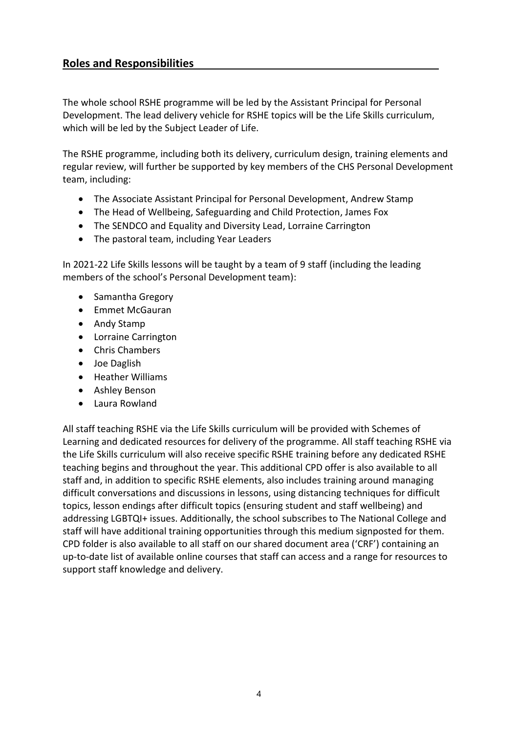# **Roles and Responsibilities**

The whole school RSHE programme will be led by the Assistant Principal for Personal Development. The lead delivery vehicle for RSHE topics will be the Life Skills curriculum, which will be led by the Subject Leader of Life.

The RSHE programme, including both its delivery, curriculum design, training elements and regular review, will further be supported by key members of the CHS Personal Development team, including:

- The Associate Assistant Principal for Personal Development, Andrew Stamp
- The Head of Wellbeing, Safeguarding and Child Protection, James Fox
- The SENDCO and Equality and Diversity Lead, Lorraine Carrington
- The pastoral team, including Year Leaders

In 2021-22 Life Skills lessons will be taught by a team of 9 staff (including the leading members of the school's Personal Development team):

- Samantha Gregory
- Emmet McGauran
- Andy Stamp
- Lorraine Carrington
- Chris Chambers
- Joe Daglish
- Heather Williams
- Ashley Benson
- Laura Rowland

All staff teaching RSHE via the Life Skills curriculum will be provided with Schemes of Learning and dedicated resources for delivery of the programme. All staff teaching RSHE via the Life Skills curriculum will also receive specific RSHE training before any dedicated RSHE teaching begins and throughout the year. This additional CPD offer is also available to all staff and, in addition to specific RSHE elements, also includes training around managing difficult conversations and discussions in lessons, using distancing techniques for difficult topics, lesson endings after difficult topics (ensuring student and staff wellbeing) and addressing LGBTQI+ issues. Additionally, the school subscribes to The National College and staff will have additional training opportunities through this medium signposted for them. CPD folder is also available to all staff on our shared document area ('CRF') containing an up-to-date list of available online courses that staff can access and a range for resources to support staff knowledge and delivery.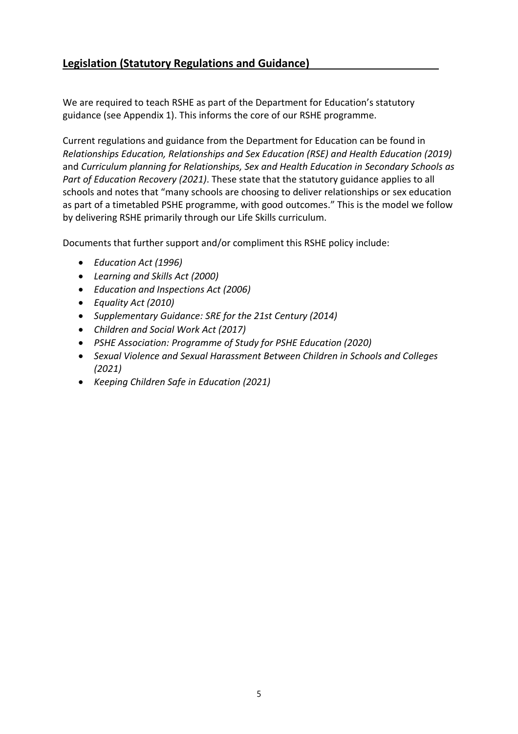We are required to teach RSHE as part of the Department for Education's statutory guidance (see Appendix 1). This informs the core of our RSHE programme.

Current regulations and guidance from the Department for Education can be found in *Relationships Education, Relationships and Sex Education (RSE) and Health Education (2019)* and *Curriculum planning for Relationships, Sex and Health Education in Secondary Schools as Part of Education Recovery (2021)*. These state that the statutory guidance applies to all schools and notes that "many schools are choosing to deliver relationships or sex education as part of a timetabled PSHE programme, with good outcomes." This is the model we follow by delivering RSHE primarily through our Life Skills curriculum.

Documents that further support and/or compliment this RSHE policy include:

- *Education Act (1996)*
- *Learning and Skills Act (2000)*
- *Education and Inspections Act (2006)*
- *Equality Act (2010)*
- *Supplementary Guidance: SRE for the 21st Century (2014)*
- *Children and Social Work Act (2017)*
- *PSHE Association: Programme of Study for PSHE Education (2020)*
- *Sexual Violence and Sexual Harassment Between Children in Schools and Colleges (2021)*
- *Keeping Children Safe in Education (2021)*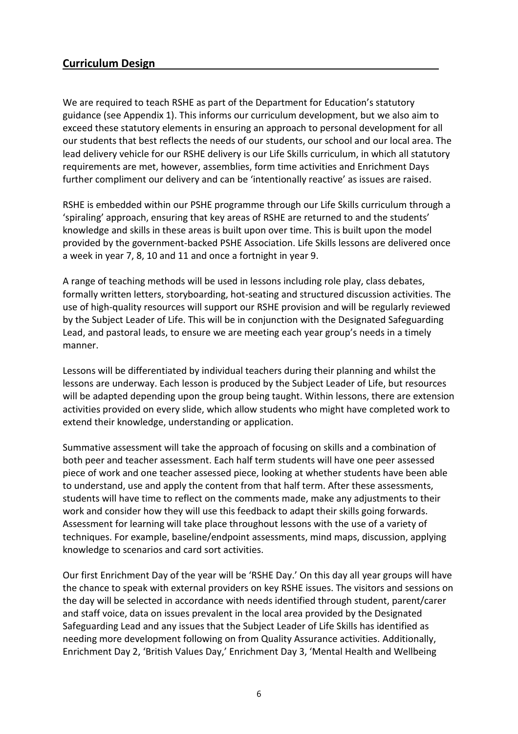# **Curriculum Design**

We are required to teach RSHE as part of the Department for Education's statutory guidance (see Appendix 1). This informs our curriculum development, but we also aim to exceed these statutory elements in ensuring an approach to personal development for all our students that best reflects the needs of our students, our school and our local area. The lead delivery vehicle for our RSHE delivery is our Life Skills curriculum, in which all statutory requirements are met, however, assemblies, form time activities and Enrichment Days further compliment our delivery and can be 'intentionally reactive' as issues are raised.

RSHE is embedded within our PSHE programme through our Life Skills curriculum through a 'spiraling' approach, ensuring that key areas of RSHE are returned to and the students' knowledge and skills in these areas is built upon over time. This is built upon the model provided by the government-backed PSHE Association. Life Skills lessons are delivered once a week in year 7, 8, 10 and 11 and once a fortnight in year 9.

A range of teaching methods will be used in lessons including role play, class debates, formally written letters, storyboarding, hot-seating and structured discussion activities. The use of high-quality resources will support our RSHE provision and will be regularly reviewed by the Subject Leader of Life. This will be in conjunction with the Designated Safeguarding Lead, and pastoral leads, to ensure we are meeting each year group's needs in a timely manner.

Lessons will be differentiated by individual teachers during their planning and whilst the lessons are underway. Each lesson is produced by the Subject Leader of Life, but resources will be adapted depending upon the group being taught. Within lessons, there are extension activities provided on every slide, which allow students who might have completed work to extend their knowledge, understanding or application.

Summative assessment will take the approach of focusing on skills and a combination of both peer and teacher assessment. Each half term students will have one peer assessed piece of work and one teacher assessed piece, looking at whether students have been able to understand, use and apply the content from that half term. After these assessments, students will have time to reflect on the comments made, make any adjustments to their work and consider how they will use this feedback to adapt their skills going forwards. Assessment for learning will take place throughout lessons with the use of a variety of techniques. For example, baseline/endpoint assessments, mind maps, discussion, applying knowledge to scenarios and card sort activities.

Our first Enrichment Day of the year will be 'RSHE Day.' On this day all year groups will have the chance to speak with external providers on key RSHE issues. The visitors and sessions on the day will be selected in accordance with needs identified through student, parent/carer and staff voice, data on issues prevalent in the local area provided by the Designated Safeguarding Lead and any issues that the Subject Leader of Life Skills has identified as needing more development following on from Quality Assurance activities. Additionally, Enrichment Day 2, 'British Values Day,' Enrichment Day 3, 'Mental Health and Wellbeing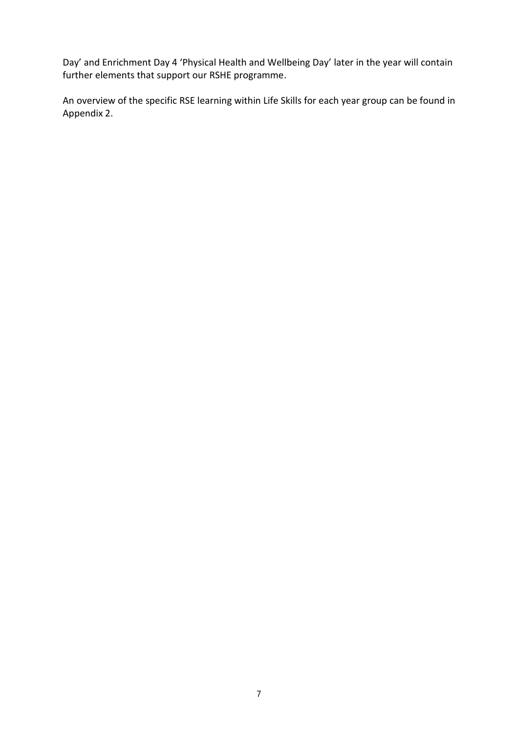Day' and Enrichment Day 4 'Physical Health and Wellbeing Day' later in the year will contain further elements that support our RSHE programme.

An overview of the specific RSE learning within Life Skills for each year group can be found in Appendix 2.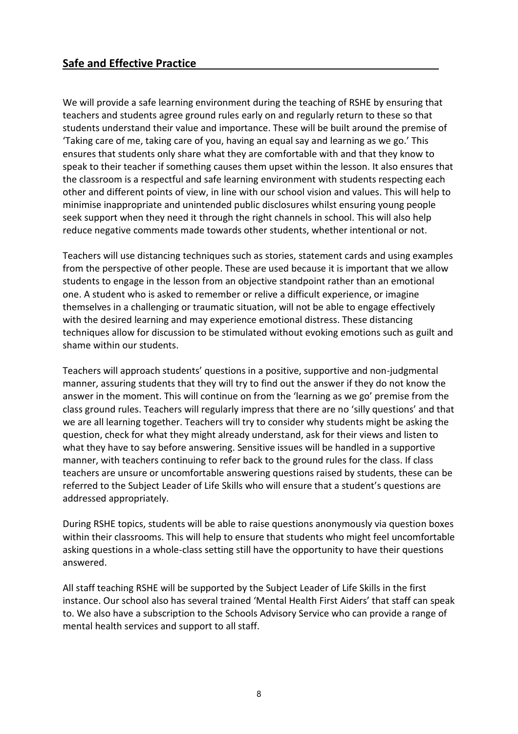We will provide a safe learning environment during the teaching of RSHE by ensuring that teachers and students agree ground rules early on and regularly return to these so that students understand their value and importance. These will be built around the premise of 'Taking care of me, taking care of you, having an equal say and learning as we go.' This ensures that students only share what they are comfortable with and that they know to speak to their teacher if something causes them upset within the lesson. It also ensures that the classroom is a respectful and safe learning environment with students respecting each other and different points of view, in line with our school vision and values. This will help to minimise inappropriate and unintended public disclosures whilst ensuring young people seek support when they need it through the right channels in school. This will also help reduce negative comments made towards other students, whether intentional or not.

Teachers will use distancing techniques such as stories, statement cards and using examples from the perspective of other people. These are used because it is important that we allow students to engage in the lesson from an objective standpoint rather than an emotional one. A student who is asked to remember or relive a difficult experience, or imagine themselves in a challenging or traumatic situation, will not be able to engage effectively with the desired learning and may experience emotional distress. These distancing techniques allow for discussion to be stimulated without evoking emotions such as guilt and shame within our students.

Teachers will approach students' questions in a positive, supportive and non-judgmental manner, assuring students that they will try to find out the answer if they do not know the answer in the moment. This will continue on from the 'learning as we go' premise from the class ground rules. Teachers will regularly impress that there are no 'silly questions' and that we are all learning together. Teachers will try to consider why students might be asking the question, check for what they might already understand, ask for their views and listen to what they have to say before answering. Sensitive issues will be handled in a supportive manner, with teachers continuing to refer back to the ground rules for the class. If class teachers are unsure or uncomfortable answering questions raised by students, these can be referred to the Subject Leader of Life Skills who will ensure that a student's questions are addressed appropriately.

During RSHE topics, students will be able to raise questions anonymously via question boxes within their classrooms. This will help to ensure that students who might feel uncomfortable asking questions in a whole-class setting still have the opportunity to have their questions answered.

All staff teaching RSHE will be supported by the Subject Leader of Life Skills in the first instance. Our school also has several trained 'Mental Health First Aiders' that staff can speak to. We also have a subscription to the Schools Advisory Service who can provide a range of mental health services and support to all staff.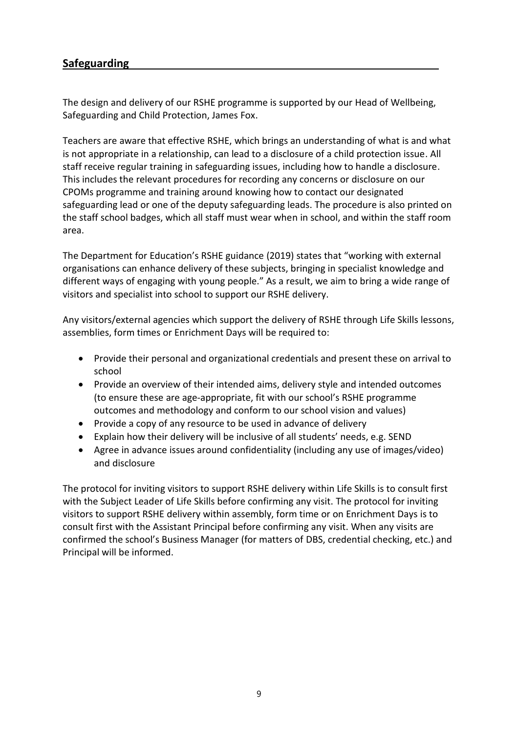# **Safeguarding**

The design and delivery of our RSHE programme is supported by our Head of Wellbeing, Safeguarding and Child Protection, James Fox.

Teachers are aware that effective RSHE, which brings an understanding of what is and what is not appropriate in a relationship, can lead to a disclosure of a child protection issue. All staff receive regular training in safeguarding issues, including how to handle a disclosure. This includes the relevant procedures for recording any concerns or disclosure on our CPOMs programme and training around knowing how to contact our designated safeguarding lead or one of the deputy safeguarding leads. The procedure is also printed on the staff school badges, which all staff must wear when in school, and within the staff room area.

The Department for Education's RSHE guidance (2019) states that "working with external organisations can enhance delivery of these subjects, bringing in specialist knowledge and different ways of engaging with young people." As a result, we aim to bring a wide range of visitors and specialist into school to support our RSHE delivery.

Any visitors/external agencies which support the delivery of RSHE through Life Skills lessons, assemblies, form times or Enrichment Days will be required to:

- Provide their personal and organizational credentials and present these on arrival to school
- Provide an overview of their intended aims, delivery style and intended outcomes (to ensure these are age-appropriate, fit with our school's RSHE programme outcomes and methodology and conform to our school vision and values)
- Provide a copy of any resource to be used in advance of delivery
- Explain how their delivery will be inclusive of all students' needs, e.g. SEND
- Agree in advance issues around confidentiality (including any use of images/video) and disclosure

The protocol for inviting visitors to support RSHE delivery within Life Skills is to consult first with the Subject Leader of Life Skills before confirming any visit. The protocol for inviting visitors to support RSHE delivery within assembly, form time or on Enrichment Days is to consult first with the Assistant Principal before confirming any visit. When any visits are confirmed the school's Business Manager (for matters of DBS, credential checking, etc.) and Principal will be informed.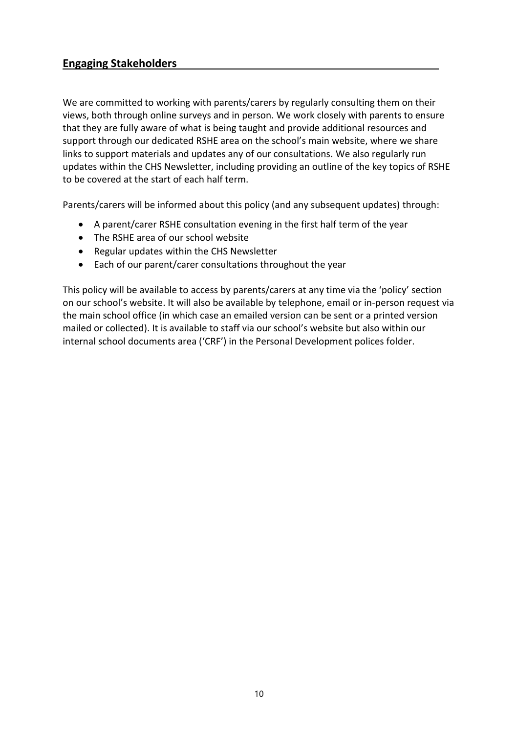We are committed to working with parents/carers by regularly consulting them on their views, both through online surveys and in person. We work closely with parents to ensure that they are fully aware of what is being taught and provide additional resources and support through our dedicated RSHE area on the school's main website, where we share links to support materials and updates any of our consultations. We also regularly run updates within the CHS Newsletter, including providing an outline of the key topics of RSHE to be covered at the start of each half term.

Parents/carers will be informed about this policy (and any subsequent updates) through:

- A parent/carer RSHE consultation evening in the first half term of the year
- The RSHE area of our school website
- Regular updates within the CHS Newsletter
- Each of our parent/carer consultations throughout the year

This policy will be available to access by parents/carers at any time via the 'policy' section on our school's website. It will also be available by telephone, email or in-person request via the main school office (in which case an emailed version can be sent or a printed version mailed or collected). It is available to staff via our school's website but also within our internal school documents area ('CRF') in the Personal Development polices folder.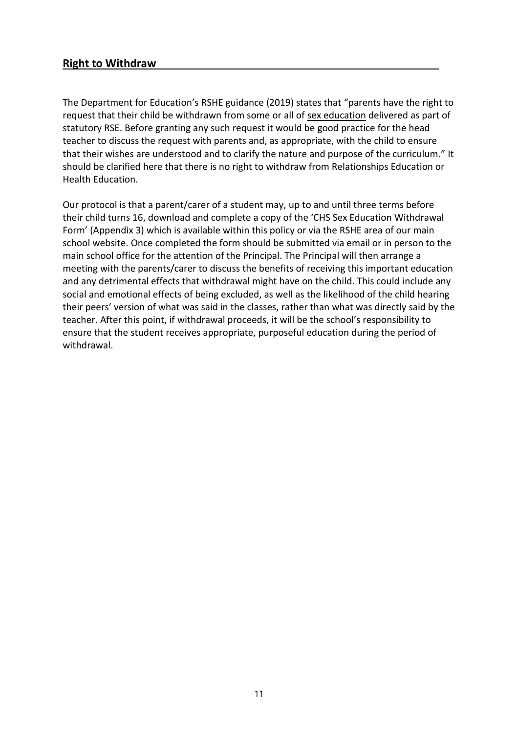### **Right to Withdraw**

The Department for Education's RSHE guidance (2019) states that "parents have the right to request that their child be withdrawn from some or all of sex education delivered as part of statutory RSE. Before granting any such request it would be good practice for the head teacher to discuss the request with parents and, as appropriate, with the child to ensure that their wishes are understood and to clarify the nature and purpose of the curriculum." It should be clarified here that there is no right to withdraw from Relationships Education or Health Education.

Our protocol is that a parent/carer of a student may, up to and until three terms before their child turns 16, download and complete a copy of the 'CHS Sex Education Withdrawal Form' (Appendix 3) which is available within this policy or via the RSHE area of our main school website. Once completed the form should be submitted via email or in person to the main school office for the attention of the Principal. The Principal will then arrange a meeting with the parents/carer to discuss the benefits of receiving this important education and any detrimental effects that withdrawal might have on the child. This could include any social and emotional effects of being excluded, as well as the likelihood of the child hearing their peers' version of what was said in the classes, rather than what was directly said by the teacher. After this point, if withdrawal proceeds, it will be the school's responsibility to ensure that the student receives appropriate, purposeful education during the period of withdrawal.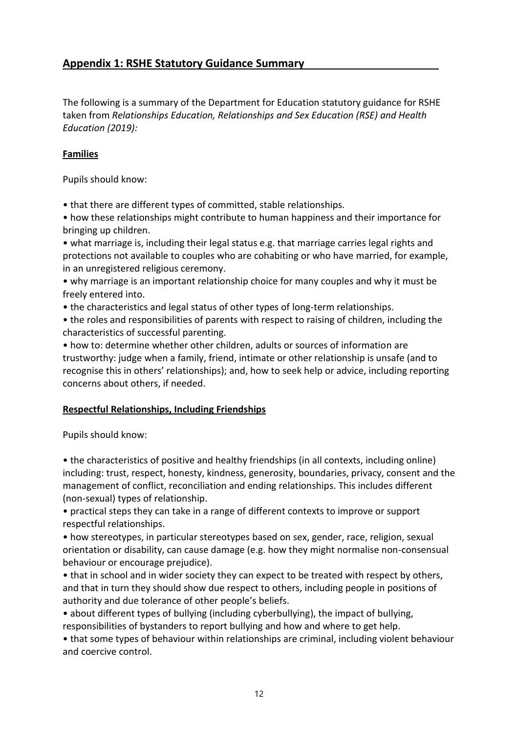# **Appendix 1: RSHE Statutory Guidance Summary**

The following is a summary of the Department for Education statutory guidance for RSHE taken from *Relationships Education, Relationships and Sex Education (RSE) and Health Education (2019):*

#### **Families**

Pupils should know:

• that there are different types of committed, stable relationships.

• how these relationships might contribute to human happiness and their importance for bringing up children.

• what marriage is, including their legal status e.g. that marriage carries legal rights and protections not available to couples who are cohabiting or who have married, for example, in an unregistered religious ceremony.

• why marriage is an important relationship choice for many couples and why it must be freely entered into.

• the characteristics and legal status of other types of long-term relationships.

• the roles and responsibilities of parents with respect to raising of children, including the characteristics of successful parenting.

• how to: determine whether other children, adults or sources of information are trustworthy: judge when a family, friend, intimate or other relationship is unsafe (and to recognise this in others' relationships); and, how to seek help or advice, including reporting concerns about others, if needed.

#### **Respectful Relationships, Including Friendships**

Pupils should know:

• the characteristics of positive and healthy friendships (in all contexts, including online) including: trust, respect, honesty, kindness, generosity, boundaries, privacy, consent and the management of conflict, reconciliation and ending relationships. This includes different (non-sexual) types of relationship.

• practical steps they can take in a range of different contexts to improve or support respectful relationships.

• how stereotypes, in particular stereotypes based on sex, gender, race, religion, sexual orientation or disability, can cause damage (e.g. how they might normalise non-consensual behaviour or encourage prejudice).

• that in school and in wider society they can expect to be treated with respect by others, and that in turn they should show due respect to others, including people in positions of authority and due tolerance of other people's beliefs.

• about different types of bullying (including cyberbullying), the impact of bullying, responsibilities of bystanders to report bullying and how and where to get help.

• that some types of behaviour within relationships are criminal, including violent behaviour and coercive control.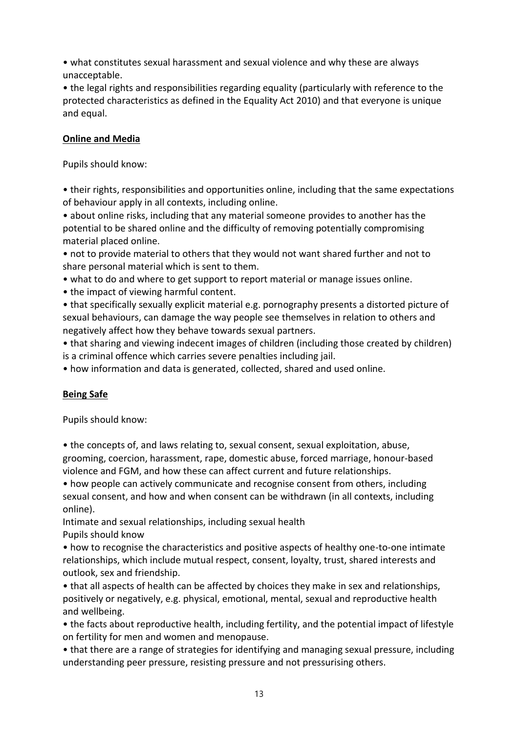• what constitutes sexual harassment and sexual violence and why these are always unacceptable.

• the legal rights and responsibilities regarding equality (particularly with reference to the protected characteristics as defined in the Equality Act 2010) and that everyone is unique and equal.

#### **Online and Media**

Pupils should know:

• their rights, responsibilities and opportunities online, including that the same expectations of behaviour apply in all contexts, including online.

• about online risks, including that any material someone provides to another has the potential to be shared online and the difficulty of removing potentially compromising material placed online.

• not to provide material to others that they would not want shared further and not to share personal material which is sent to them.

- what to do and where to get support to report material or manage issues online.
- the impact of viewing harmful content.

• that specifically sexually explicit material e.g. pornography presents a distorted picture of sexual behaviours, can damage the way people see themselves in relation to others and negatively affect how they behave towards sexual partners.

• that sharing and viewing indecent images of children (including those created by children) is a criminal offence which carries severe penalties including jail.

• how information and data is generated, collected, shared and used online.

#### **Being Safe**

Pupils should know:

• the concepts of, and laws relating to, sexual consent, sexual exploitation, abuse, grooming, coercion, harassment, rape, domestic abuse, forced marriage, honour-based violence and FGM, and how these can affect current and future relationships.

• how people can actively communicate and recognise consent from others, including sexual consent, and how and when consent can be withdrawn (in all contexts, including online).

Intimate and sexual relationships, including sexual health Pupils should know

• how to recognise the characteristics and positive aspects of healthy one-to-one intimate relationships, which include mutual respect, consent, loyalty, trust, shared interests and outlook, sex and friendship.

• that all aspects of health can be affected by choices they make in sex and relationships, positively or negatively, e.g. physical, emotional, mental, sexual and reproductive health and wellbeing.

• the facts about reproductive health, including fertility, and the potential impact of lifestyle on fertility for men and women and menopause.

• that there are a range of strategies for identifying and managing sexual pressure, including understanding peer pressure, resisting pressure and not pressurising others.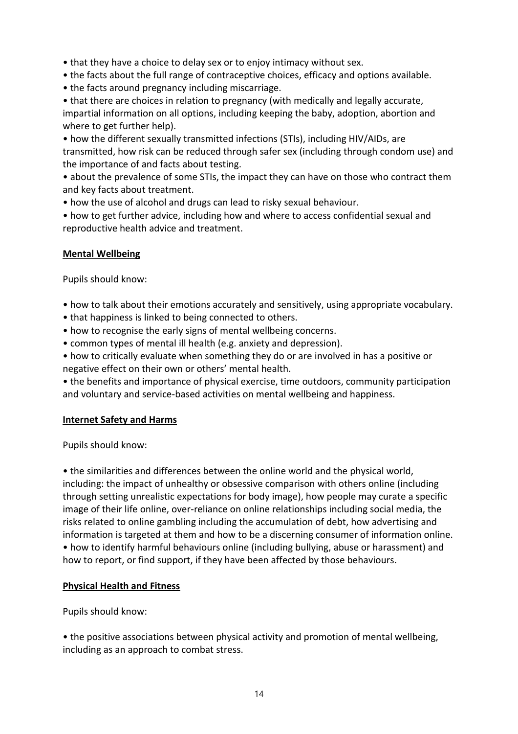- that they have a choice to delay sex or to enjoy intimacy without sex.
- the facts about the full range of contraceptive choices, efficacy and options available.
- the facts around pregnancy including miscarriage.

• that there are choices in relation to pregnancy (with medically and legally accurate, impartial information on all options, including keeping the baby, adoption, abortion and where to get further help).

• how the different sexually transmitted infections (STIs), including HIV/AIDs, are transmitted, how risk can be reduced through safer sex (including through condom use) and the importance of and facts about testing.

• about the prevalence of some STIs, the impact they can have on those who contract them and key facts about treatment.

• how the use of alcohol and drugs can lead to risky sexual behaviour.

• how to get further advice, including how and where to access confidential sexual and reproductive health advice and treatment.

#### **Mental Wellbeing**

Pupils should know:

- how to talk about their emotions accurately and sensitively, using appropriate vocabulary.
- that happiness is linked to being connected to others.
- how to recognise the early signs of mental wellbeing concerns.
- common types of mental ill health (e.g. anxiety and depression).
- how to critically evaluate when something they do or are involved in has a positive or negative effect on their own or others' mental health.

• the benefits and importance of physical exercise, time outdoors, community participation and voluntary and service-based activities on mental wellbeing and happiness.

#### **Internet Safety and Harms**

Pupils should know:

• the similarities and differences between the online world and the physical world, including: the impact of unhealthy or obsessive comparison with others online (including through setting unrealistic expectations for body image), how people may curate a specific image of their life online, over-reliance on online relationships including social media, the risks related to online gambling including the accumulation of debt, how advertising and information is targeted at them and how to be a discerning consumer of information online. • how to identify harmful behaviours online (including bullying, abuse or harassment) and how to report, or find support, if they have been affected by those behaviours.

#### **Physical Health and Fitness**

Pupils should know:

• the positive associations between physical activity and promotion of mental wellbeing, including as an approach to combat stress.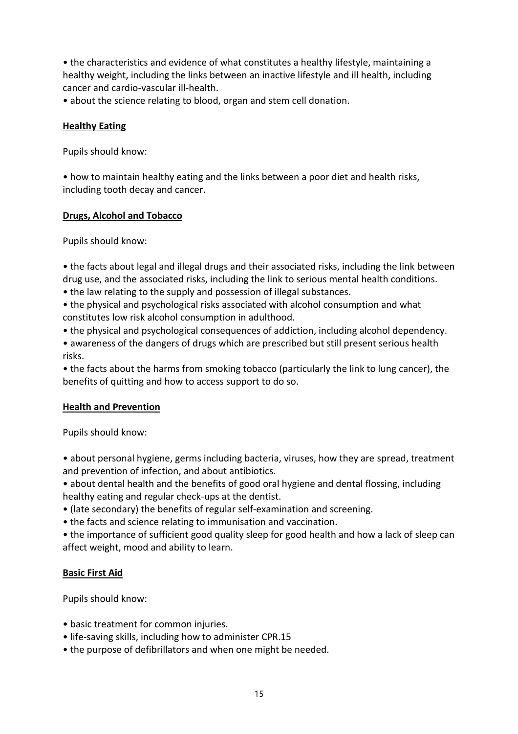• the characteristics and evidence of what constitutes a healthy lifestyle, maintaining a healthy weight, including the links between an inactive lifestyle and ill health, including cancer and cardio-vascular ill-health.

• about the science relating to blood, organ and stem cell donation.

#### **Healthy Eating**

Pupils should know:

• how to maintain healthy eating and the links between a poor diet and health risks, including tooth decay and cancer.

#### **Drugs, Alcohol and Tobacco**

Pupils should know:

• the facts about legal and illegal drugs and their associated risks, including the link between drug use, and the associated risks, including the link to serious mental health conditions.

- the law relating to the supply and possession of illegal substances.
- the physical and psychological risks associated with alcohol consumption and what constitutes low risk alcohol consumption in adulthood.
- the physical and psychological consequences of addiction, including alcohol dependency.
- awareness of the dangers of drugs which are prescribed but still present serious health risks.

• the facts about the harms from smoking tobacco (particularly the link to lung cancer), the benefits of quitting and how to access support to do so.

#### **Health and Prevention**

Pupils should know:

• about personal hygiene, germs including bacteria, viruses, how they are spread, treatment and prevention of infection, and about antibiotics.

• about dental health and the benefits of good oral hygiene and dental flossing, including healthy eating and regular check-ups at the dentist.

- (late secondary) the benefits of regular self-examination and screening.
- the facts and science relating to immunisation and vaccination.

• the importance of sufficient good quality sleep for good health and how a lack of sleep can affect weight, mood and ability to learn.

#### **Basic First Aid**

Pupils should know:

- basic treatment for common injuries.
- life-saving skills, including how to administer CPR.15
- the purpose of defibrillators and when one might be needed.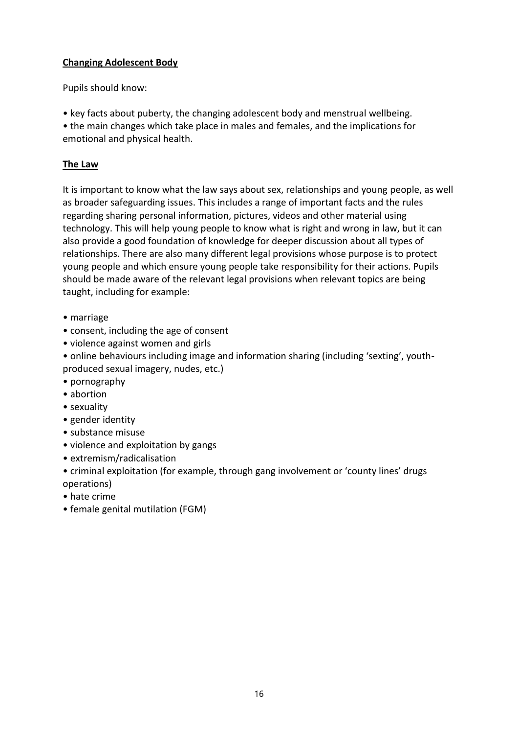#### **Changing Adolescent Body**

Pupils should know:

- key facts about puberty, the changing adolescent body and menstrual wellbeing.
- the main changes which take place in males and females, and the implications for emotional and physical health.

#### **The Law**

It is important to know what the law says about sex, relationships and young people, as well as broader safeguarding issues. This includes a range of important facts and the rules regarding sharing personal information, pictures, videos and other material using technology. This will help young people to know what is right and wrong in law, but it can also provide a good foundation of knowledge for deeper discussion about all types of relationships. There are also many different legal provisions whose purpose is to protect young people and which ensure young people take responsibility for their actions. Pupils should be made aware of the relevant legal provisions when relevant topics are being taught, including for example:

- marriage
- consent, including the age of consent
- violence against women and girls
- online behaviours including image and information sharing (including 'sexting', youthproduced sexual imagery, nudes, etc.)
- pornography
- abortion
- sexuality
- gender identity
- substance misuse
- violence and exploitation by gangs
- extremism/radicalisation
- criminal exploitation (for example, through gang involvement or 'county lines' drugs operations)
- hate crime
- female genital mutilation (FGM)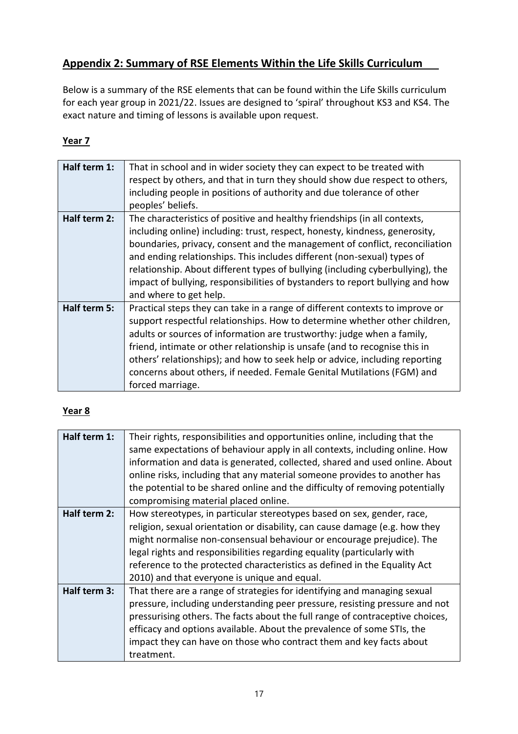# **Appendix 2: Summary of RSE Elements Within the Life Skills Curriculum**

Below is a summary of the RSE elements that can be found within the Life Skills curriculum for each year group in 2021/22. Issues are designed to 'spiral' throughout KS3 and KS4. The exact nature and timing of lessons is available upon request.

#### **Year 7**

| Half term 1: | That in school and in wider society they can expect to be treated with<br>respect by others, and that in turn they should show due respect to others,<br>including people in positions of authority and due tolerance of other<br>peoples' beliefs.                                                                                                                                                                                                                                                             |
|--------------|-----------------------------------------------------------------------------------------------------------------------------------------------------------------------------------------------------------------------------------------------------------------------------------------------------------------------------------------------------------------------------------------------------------------------------------------------------------------------------------------------------------------|
| Half term 2: | The characteristics of positive and healthy friendships (in all contexts,<br>including online) including: trust, respect, honesty, kindness, generosity,<br>boundaries, privacy, consent and the management of conflict, reconciliation<br>and ending relationships. This includes different (non-sexual) types of<br>relationship. About different types of bullying (including cyberbullying), the<br>impact of bullying, responsibilities of bystanders to report bullying and how<br>and where to get help. |
| Half term 5: | Practical steps they can take in a range of different contexts to improve or<br>support respectful relationships. How to determine whether other children,<br>adults or sources of information are trustworthy: judge when a family,<br>friend, intimate or other relationship is unsafe (and to recognise this in<br>others' relationships); and how to seek help or advice, including reporting<br>concerns about others, if needed. Female Genital Mutilations (FGM) and<br>forced marriage.                 |

### **Year 8**

| Half term 1: | Their rights, responsibilities and opportunities online, including that the   |  |  |
|--------------|-------------------------------------------------------------------------------|--|--|
|              | same expectations of behaviour apply in all contexts, including online. How   |  |  |
|              | information and data is generated, collected, shared and used online. About   |  |  |
|              | online risks, including that any material someone provides to another has     |  |  |
|              | the potential to be shared online and the difficulty of removing potentially  |  |  |
|              | compromising material placed online.                                          |  |  |
| Half term 2: | How stereotypes, in particular stereotypes based on sex, gender, race,        |  |  |
|              | religion, sexual orientation or disability, can cause damage (e.g. how they   |  |  |
|              | might normalise non-consensual behaviour or encourage prejudice). The         |  |  |
|              | legal rights and responsibilities regarding equality (particularly with       |  |  |
|              | reference to the protected characteristics as defined in the Equality Act     |  |  |
|              | 2010) and that everyone is unique and equal.                                  |  |  |
| Half term 3: | That there are a range of strategies for identifying and managing sexual      |  |  |
|              | pressure, including understanding peer pressure, resisting pressure and not   |  |  |
|              | pressurising others. The facts about the full range of contraceptive choices, |  |  |
|              | efficacy and options available. About the prevalence of some STIs, the        |  |  |
|              | impact they can have on those who contract them and key facts about           |  |  |
|              | treatment.                                                                    |  |  |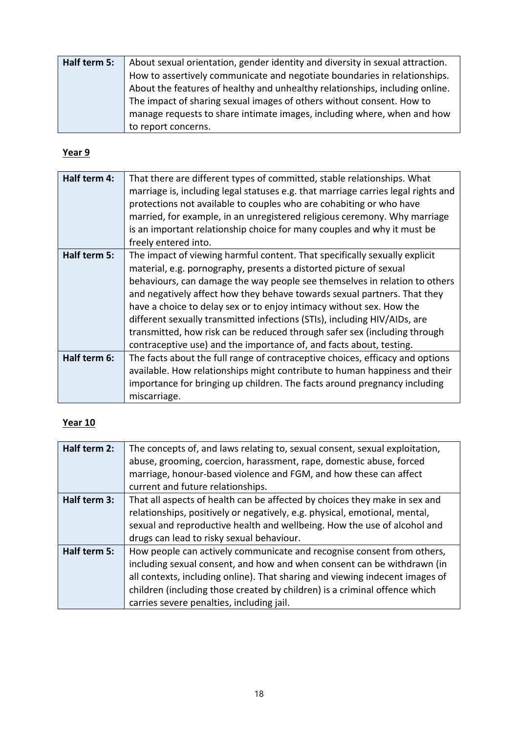| Half term 5: | About sexual orientation, gender identity and diversity in sexual attraction. |
|--------------|-------------------------------------------------------------------------------|
|              | How to assertively communicate and negotiate boundaries in relationships.     |
|              | About the features of healthy and unhealthy relationships, including online.  |
|              | The impact of sharing sexual images of others without consent. How to         |
|              | manage requests to share intimate images, including where, when and how       |
|              | to report concerns.                                                           |

# **Year 9**

| Half term 4: | That there are different types of committed, stable relationships. What           |  |  |
|--------------|-----------------------------------------------------------------------------------|--|--|
|              | marriage is, including legal statuses e.g. that marriage carries legal rights and |  |  |
|              | protections not available to couples who are cohabiting or who have               |  |  |
|              | married, for example, in an unregistered religious ceremony. Why marriage         |  |  |
|              | is an important relationship choice for many couples and why it must be           |  |  |
|              | freely entered into.                                                              |  |  |
| Half term 5: | The impact of viewing harmful content. That specifically sexually explicit        |  |  |
|              | material, e.g. pornography, presents a distorted picture of sexual                |  |  |
|              | behaviours, can damage the way people see themselves in relation to others        |  |  |
|              | and negatively affect how they behave towards sexual partners. That they          |  |  |
|              | have a choice to delay sex or to enjoy intimacy without sex. How the              |  |  |
|              | different sexually transmitted infections (STIs), including HIV/AIDs, are         |  |  |
|              | transmitted, how risk can be reduced through safer sex (including through         |  |  |
|              | contraceptive use) and the importance of, and facts about, testing.               |  |  |
| Half term 6: | The facts about the full range of contraceptive choices, efficacy and options     |  |  |
|              | available. How relationships might contribute to human happiness and their        |  |  |
|              | importance for bringing up children. The facts around pregnancy including         |  |  |
|              | miscarriage.                                                                      |  |  |

# **Year 10**

| Half term 2: | The concepts of, and laws relating to, sexual consent, sexual exploitation,<br>abuse, grooming, coercion, harassment, rape, domestic abuse, forced<br>marriage, honour-based violence and FGM, and how these can affect |
|--------------|-------------------------------------------------------------------------------------------------------------------------------------------------------------------------------------------------------------------------|
|              | current and future relationships.                                                                                                                                                                                       |
| Half term 3: | That all aspects of health can be affected by choices they make in sex and                                                                                                                                              |
|              | relationships, positively or negatively, e.g. physical, emotional, mental,                                                                                                                                              |
|              | sexual and reproductive health and wellbeing. How the use of alcohol and                                                                                                                                                |
|              | drugs can lead to risky sexual behaviour.                                                                                                                                                                               |
| Half term 5: | How people can actively communicate and recognise consent from others,                                                                                                                                                  |
|              | including sexual consent, and how and when consent can be withdrawn (in                                                                                                                                                 |
|              | all contexts, including online). That sharing and viewing indecent images of                                                                                                                                            |
|              | children (including those created by children) is a criminal offence which                                                                                                                                              |
|              | carries severe penalties, including jail.                                                                                                                                                                               |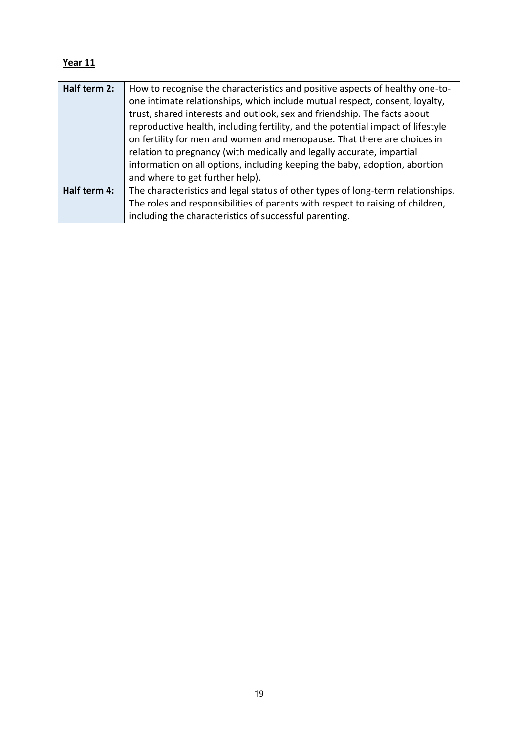#### **Year 11**

| Half term 2: | How to recognise the characteristics and positive aspects of healthy one-to-<br>one intimate relationships, which include mutual respect, consent, loyalty, |
|--------------|-------------------------------------------------------------------------------------------------------------------------------------------------------------|
|              | trust, shared interests and outlook, sex and friendship. The facts about                                                                                    |
|              | reproductive health, including fertility, and the potential impact of lifestyle<br>on fertility for men and women and menopause. That there are choices in  |
|              | relation to pregnancy (with medically and legally accurate, impartial                                                                                       |
|              | information on all options, including keeping the baby, adoption, abortion                                                                                  |
|              | and where to get further help).                                                                                                                             |
| Half term 4: | The characteristics and legal status of other types of long-term relationships.                                                                             |
|              | The roles and responsibilities of parents with respect to raising of children,                                                                              |
|              | including the characteristics of successful parenting.                                                                                                      |